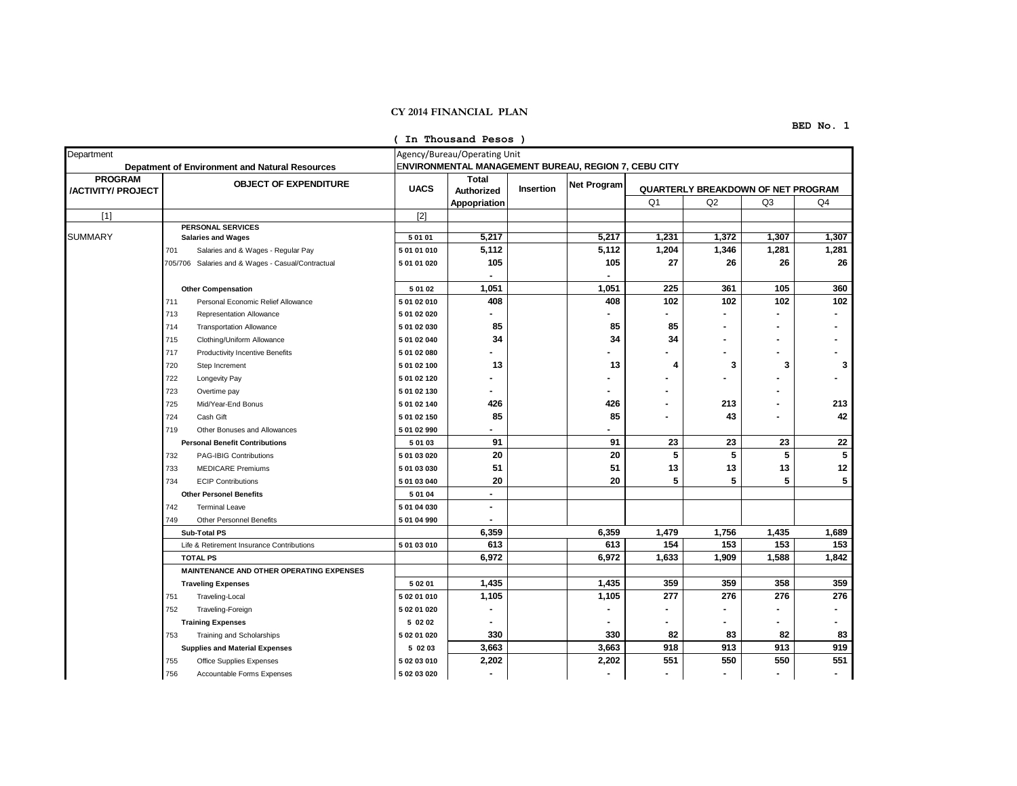## **CY 2014 FINANCIAL PLAN**

## **BED No. 1**

|                                             |                                                 |                                                                                             |             | (In Thousand Pesos)                        |           |             |                                    |                |                |                |
|---------------------------------------------|-------------------------------------------------|---------------------------------------------------------------------------------------------|-------------|--------------------------------------------|-----------|-------------|------------------------------------|----------------|----------------|----------------|
| Department                                  | Depatment of Environment and Natural Resources  | Agency/Bureau/Operating Unit<br><b>ENVIRONMENTAL MANAGEMENT BUREAU, REGION 7, CEBU CITY</b> |             |                                            |           |             |                                    |                |                |                |
| <b>PROGRAM</b><br><b>/ACTIVITY/ PROJECT</b> | <b>OBJECT OF EXPENDITURE</b>                    |                                                                                             | <b>UACS</b> | <b>Total</b><br>Authorized<br>Appopriation | Insertion | Net Program | QUARTERLY BREAKDOWN OF NET PROGRAM |                |                |                |
|                                             |                                                 |                                                                                             |             |                                            |           |             | Q <sub>1</sub><br>Q2               |                | Q <sub>3</sub> | Q <sub>4</sub> |
| [1]                                         |                                                 |                                                                                             | $[2]$       |                                            |           |             |                                    |                |                |                |
|                                             |                                                 | <b>PERSONAL SERVICES</b>                                                                    |             |                                            |           |             |                                    |                |                |                |
| SUMMARY                                     |                                                 | <b>Salaries and Wages</b>                                                                   | 5 01 01     | 5,217                                      |           | 5,217       | 1,231                              | 1,372          | 1,307          | 1,307          |
|                                             | 701                                             | Salaries and & Wages - Regular Pay                                                          | 5 01 01 010 | 5,112                                      |           | 5,112       | 1,204                              | 1,346          | 1,281          | 1,281          |
|                                             |                                                 | 705/706 Salaries and & Wages - Casual/Contractual                                           | 5 01 01 020 | 105                                        |           | 105         | 27                                 | 26             | 26             | 26             |
|                                             |                                                 | <b>Other Compensation</b>                                                                   | 5 01 02     | 1,051                                      |           | 1,051       | 225                                | 361            | 105            | 360            |
|                                             | 711                                             | Personal Economic Relief Allowance                                                          | 5 01 02 010 | 408                                        |           | 408         | 102                                | 102            | 102            | 102            |
|                                             | 713                                             | Representation Allowance                                                                    | 5 01 02 020 | ä,                                         |           |             |                                    | $\blacksquare$ |                |                |
|                                             | 714                                             | <b>Transportation Allowance</b>                                                             | 5 01 02 030 | 85                                         |           | 85          | 85                                 |                |                |                |
|                                             | 715                                             | Clothing/Uniform Allowance                                                                  | 5 01 02 040 | 34                                         |           | 34          | 34                                 |                |                |                |
|                                             | 717                                             | Productivity Incentive Benefits                                                             | 5 01 02 080 |                                            |           |             |                                    |                |                |                |
|                                             | 720                                             | Step Increment                                                                              | 5 01 02 100 | 13                                         |           | 13          | 4                                  | 3              | 3              | 3              |
|                                             | 722                                             | Longevity Pay                                                                               | 5 01 02 120 |                                            |           |             |                                    |                |                |                |
|                                             | 723                                             | Overtime pay                                                                                | 5 01 02 130 |                                            |           |             |                                    |                |                |                |
|                                             | 725                                             | Mid/Year-End Bonus                                                                          | 5 01 02 140 | 426                                        |           | 426         |                                    | 213            |                | 213            |
|                                             | 724                                             | Cash Gift                                                                                   | 5 01 02 150 | 85                                         |           | 85          |                                    | 43             |                | 42             |
|                                             | 719                                             | Other Bonuses and Allowances                                                                | 5 01 02 990 |                                            |           |             |                                    |                |                |                |
|                                             |                                                 | <b>Personal Benefit Contributions</b>                                                       | 5 01 03     | 91                                         |           | 91          | 23                                 | 23             | 23             | 22             |
|                                             | 732                                             | <b>PAG-IBIG Contributions</b>                                                               | 5 01 03 020 | 20                                         |           | 20          | 5                                  | 5              | 5              | 5              |
|                                             | 733                                             | <b>MEDICARE Premiums</b>                                                                    | 5 01 03 030 | 51                                         |           | 51          | 13                                 | 13             | 13             | 12             |
|                                             | 734                                             | <b>ECIP Contributions</b>                                                                   | 5 01 03 040 | 20                                         |           | 20          | 5                                  | 5              | 5              | 5              |
|                                             |                                                 | <b>Other Personel Benefits</b>                                                              | 5 01 04     | $\blacksquare$                             |           |             |                                    |                |                |                |
|                                             | 742                                             | <b>Terminal Leave</b>                                                                       | 5 01 04 030 | $\blacksquare$                             |           |             |                                    |                |                |                |
|                                             | 749                                             | <b>Other Personnel Benefits</b>                                                             | 5 01 04 990 | $\blacksquare$                             |           |             |                                    |                |                |                |
|                                             |                                                 | Sub-Total PS                                                                                |             | 6,359                                      |           | 6,359       | 1,479                              | 1,756          | 1,435          | 1,689          |
|                                             |                                                 | Life & Retirement Insurance Contributions                                                   | 5 01 03 010 | 613                                        |           | 613         | 154                                | 153            | 153            | 153            |
|                                             |                                                 | <b>TOTAL PS</b>                                                                             |             | 6,972                                      |           | 6,972       | 1,633                              | 1,909          | 1,588          | 1,842          |
|                                             | <b>MAINTENANCE AND OTHER OPERATING EXPENSES</b> |                                                                                             |             |                                            |           |             |                                    |                |                |                |
|                                             | <b>Traveling Expenses</b>                       |                                                                                             | 5 02 01     | 1,435                                      |           | 1,435       | 359                                | 359            | 358            | 359            |
|                                             | 751                                             | Traveling-Local                                                                             | 5 02 01 010 | 1,105                                      |           | 1,105       | 277                                | 276            | 276            | 276            |
|                                             | 752                                             | Traveling-Foreign                                                                           | 5 02 01 020 |                                            |           |             |                                    |                |                | ۰              |
|                                             |                                                 | <b>Training Expenses</b>                                                                    | 5 02 02     | ٠                                          |           |             |                                    |                |                | ۰              |
|                                             | 753                                             | Training and Scholarships                                                                   | 5 02 01 020 | 330                                        |           | 330         | 82                                 | 83             | 82             | 83             |
|                                             |                                                 | <b>Supplies and Material Expenses</b>                                                       | 5 02 03     | 3,663                                      |           | 3,663       | 918                                | 913            | 913            | 919            |
|                                             | 755                                             | Office Supplies Expenses                                                                    | 5 02 03 010 | 2,202                                      |           | 2,202       | 551                                | 550            | 550            | 551            |
|                                             | 756                                             | Accountable Forms Expenses                                                                  | 5 02 03 020 | $\blacksquare$                             |           |             |                                    |                |                |                |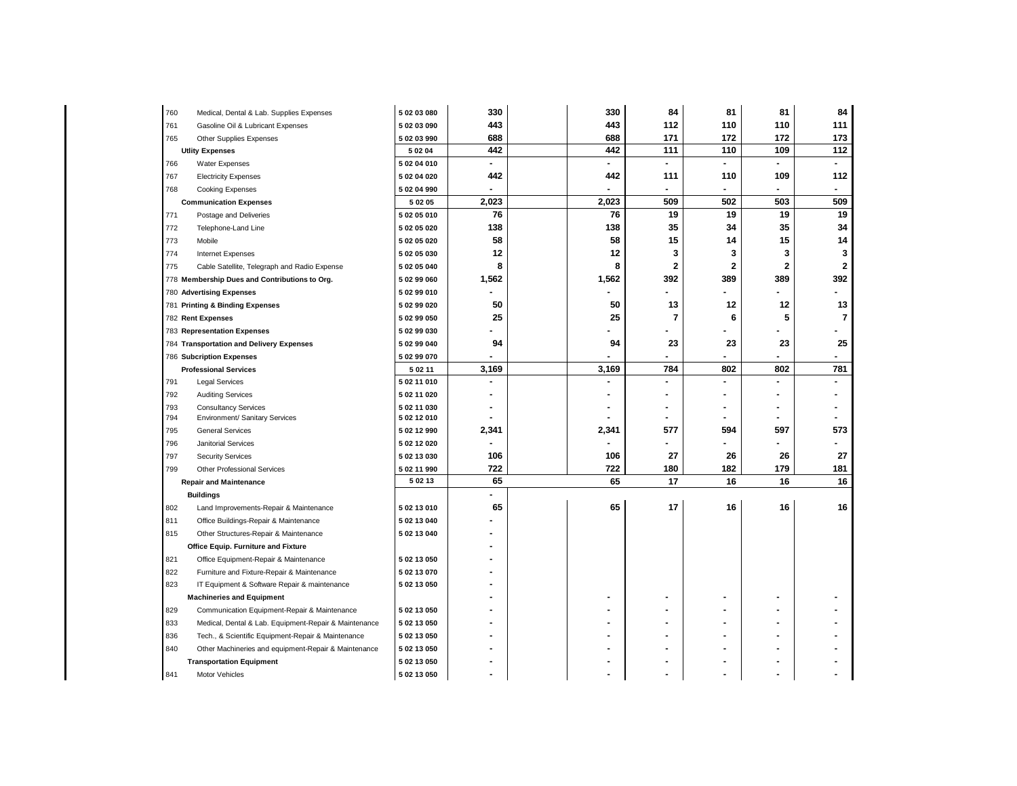| 760                    | Medical, Dental & Lab. Supplies Expenses              | 5 02 03 080            | 330            | 330            | 84             | 81             | 81                       | 84                       |
|------------------------|-------------------------------------------------------|------------------------|----------------|----------------|----------------|----------------|--------------------------|--------------------------|
| 761                    | Gasoline Oil & Lubricant Expenses                     | 5 02 03 090            | 443            | 443            | 112            | 110            | 110                      | 111                      |
| 765                    | Other Supplies Expenses                               |                        | 688            | 688            | 171            | 172            | 172                      | 173                      |
| <b>Utlity Expenses</b> |                                                       | 5 02 04                | 442            | 442            | 111            | 110            | 109                      | 112                      |
| 766                    | Water Expenses                                        | 5 02 04 010            | $\blacksquare$ | $\blacksquare$ | $\blacksquare$ | ÷.             | $\overline{\phantom{a}}$ | $\blacksquare$           |
| 767                    | <b>Electricity Expenses</b>                           | 5 02 04 020            | 442            | 442            | 111            | 110            | 109                      | 112                      |
| 768                    | <b>Cooking Expenses</b>                               | 5 02 04 990            | $\blacksquare$ |                | $\blacksquare$ | ۰              | $\blacksquare$           | $\overline{\phantom{a}}$ |
|                        | <b>Communication Expenses</b>                         | 5 02 05                | 2,023          | 2,023          | 509            | 502            | 503                      | 509                      |
| 771                    | Postage and Deliveries                                | 5 02 05 010            | 76             | 76             | 19             | 19             | 19                       | 19                       |
| 772                    | Telephone-Land Line                                   | 5 02 05 020            | 138            | 138            | 35             | 34             | 35                       | 34                       |
| 773                    | Mobile                                                | 5 02 05 020            | 58             | 58             | 15             | 14             | 15                       | 14                       |
| 774                    | <b>Internet Expenses</b>                              | 5 02 05 030            | 12             | 12             | 3              | 3              | 3                        | 3                        |
| 775                    | Cable Satellite, Telegraph and Radio Expense          | 5 02 05 040            | 8              | 8              | $\mathbf{2}$   | $\mathbf{2}$   | $\overline{\mathbf{2}}$  | $\mathbf{2}$             |
|                        | 778 Membership Dues and Contributions to Org.         | 5 02 99 060            | 1,562          | 1,562          | 392            | 389            | 389                      | 392                      |
|                        | 780 Advertising Expenses                              |                        |                |                |                |                |                          |                          |
|                        | 781 Printing & Binding Expenses                       | 5 02 99 020            | 50             | 50             | 13             | 12             | 12                       | 13                       |
|                        | 782 Rent Expenses                                     | 5 02 99 050            | 25             | 25             | 7              | 6              | 5                        | 7                        |
|                        | 783 Representation Expenses                           |                        |                |                |                |                |                          |                          |
|                        | 784 Transportation and Delivery Expenses              |                        | 94             | 94             | 23             | 23             | 23                       | 25                       |
|                        | 786 Subcription Expenses                              |                        |                |                |                | $\blacksquare$ |                          |                          |
|                        | <b>Professional Services</b>                          |                        | 3,169          | 3,169          | 784            | 802            | 802                      | 781                      |
| 791                    | <b>Legal Services</b>                                 | 5 02 11 010            | $\blacksquare$ |                |                | ä,             |                          |                          |
| 792                    | <b>Auditing Services</b>                              | 5 02 11 020            | $\blacksquare$ |                |                | ۰              |                          |                          |
| 793                    | <b>Consultancy Services</b>                           | 5 02 11 030            | ٠              |                |                |                |                          |                          |
| 794                    | Environment/ Sanitary Services                        | 5 02 12 010            |                |                |                | ۰              |                          |                          |
| 795                    | <b>General Services</b>                               | 5 02 12 990            | 2,341          | 2,341          | 577            | 594            | 597                      | 573                      |
| 796                    | Janitorial Services                                   | 5 02 12 020            |                |                |                |                |                          |                          |
| 797                    | <b>Security Services</b>                              | 5 02 13 030            | 106            | 106            | 27             | 26             | 26                       | 27                       |
| 799                    | <b>Other Professional Services</b>                    | 5 02 11 990<br>5 02 13 | 722            | 722            | 180            | 182            | 179                      | 181                      |
|                        | <b>Repair and Maintenance</b>                         |                        | 65             | 65             | 17             | 16             | 16                       | 16                       |
|                        | <b>Buildings</b>                                      |                        |                |                |                |                |                          |                          |
| 802                    | Land Improvements-Repair & Maintenance                | 5 02 13 010            | 65             | 65             | 17             | 16             | 16                       | 16                       |
| 811                    | Office Buildings-Repair & Maintenance                 | 5 02 13 040            |                |                |                |                |                          |                          |
| 815                    | Other Structures-Repair & Maintenance                 | 5 02 13 040            |                |                |                |                |                          |                          |
|                        | Office Equip. Furniture and Fixture                   |                        |                |                |                |                |                          |                          |
| 821                    | Office Equipment-Repair & Maintenance                 | 5 02 13 050            |                |                |                |                |                          |                          |
| 822                    | Furniture and Fixture-Repair & Maintenance            | 5 02 13 070            |                |                |                |                |                          |                          |
| 823                    | IT Equipment & Software Repair & maintenance          |                        |                |                |                |                |                          |                          |
|                        | <b>Machineries and Equipment</b>                      |                        |                |                |                |                |                          |                          |
| 829                    | Communication Equipment-Repair & Maintenance          | 5 02 13 050            |                |                |                |                |                          |                          |
| 833                    | Medical, Dental & Lab. Equipment-Repair & Maintenance | 5 02 13 050            |                |                |                |                |                          |                          |
| 836                    | Tech., & Scientific Equipment-Repair & Maintenance    | 5 02 13 050            |                |                |                |                |                          |                          |
| 840                    | Other Machineries and equipment-Repair & Maintenance  | 5 02 13 050            |                |                |                |                |                          |                          |
|                        | <b>Transportation Equipment</b>                       |                        |                |                |                |                |                          |                          |
| 841                    | Motor Vehicles                                        | 5 02 13 050            |                |                |                |                |                          |                          |